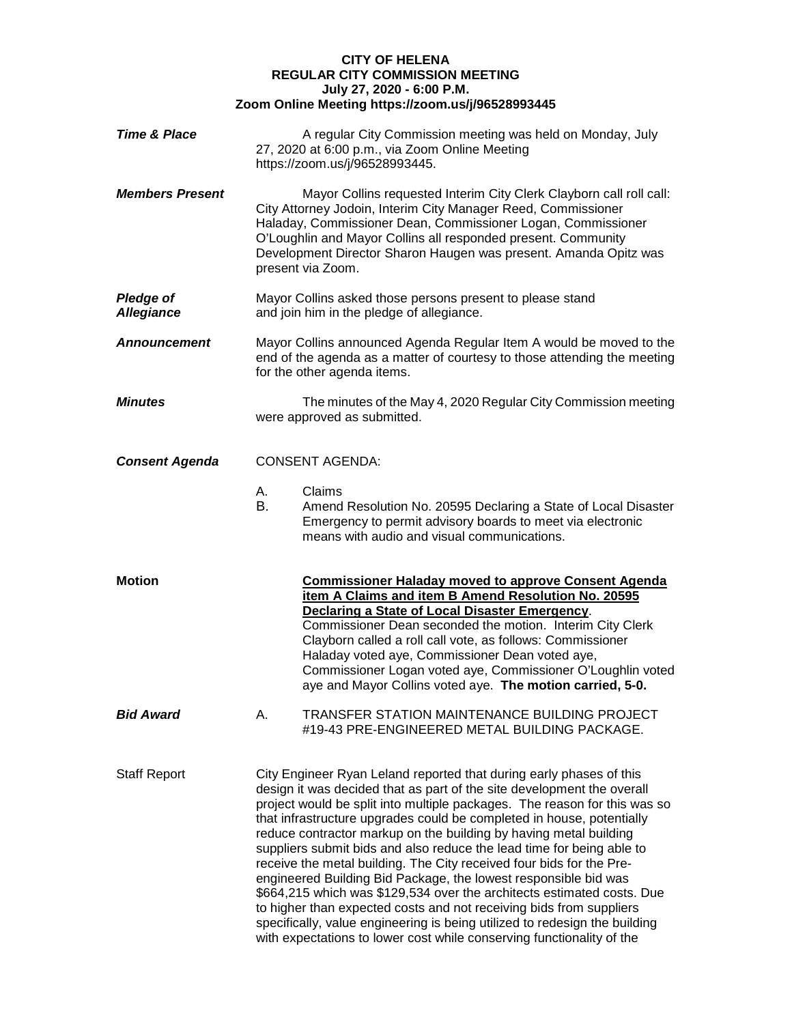## **CITY OF HELENA REGULAR CITY COMMISSION MEETING July 27, 2020 - 6:00 P.M. Zoom Online Meeting https://zoom.us/j/96528993445**

| <b>Time &amp; Place</b>               |          | A regular City Commission meeting was held on Monday, July<br>27, 2020 at 6:00 p.m., via Zoom Online Meeting<br>https://zoom.us/j/96528993445.                                                                                                                                                                                                                                                                                                                                                                                                                                                                                                                                                                                                                                                                                                                                                       |
|---------------------------------------|----------|------------------------------------------------------------------------------------------------------------------------------------------------------------------------------------------------------------------------------------------------------------------------------------------------------------------------------------------------------------------------------------------------------------------------------------------------------------------------------------------------------------------------------------------------------------------------------------------------------------------------------------------------------------------------------------------------------------------------------------------------------------------------------------------------------------------------------------------------------------------------------------------------------|
| <b>Members Present</b>                |          | Mayor Collins requested Interim City Clerk Clayborn call roll call:<br>City Attorney Jodoin, Interim City Manager Reed, Commissioner<br>Haladay, Commissioner Dean, Commissioner Logan, Commissioner<br>O'Loughlin and Mayor Collins all responded present. Community<br>Development Director Sharon Haugen was present. Amanda Opitz was<br>present via Zoom.                                                                                                                                                                                                                                                                                                                                                                                                                                                                                                                                       |
| <b>Pledge of</b><br><b>Allegiance</b> |          | Mayor Collins asked those persons present to please stand<br>and join him in the pledge of allegiance.                                                                                                                                                                                                                                                                                                                                                                                                                                                                                                                                                                                                                                                                                                                                                                                               |
| Announcement                          |          | Mayor Collins announced Agenda Regular Item A would be moved to the<br>end of the agenda as a matter of courtesy to those attending the meeting<br>for the other agenda items.                                                                                                                                                                                                                                                                                                                                                                                                                                                                                                                                                                                                                                                                                                                       |
| <b>Minutes</b>                        |          | The minutes of the May 4, 2020 Regular City Commission meeting<br>were approved as submitted.                                                                                                                                                                                                                                                                                                                                                                                                                                                                                                                                                                                                                                                                                                                                                                                                        |
| <b>Consent Agenda</b>                 |          | <b>CONSENT AGENDA:</b>                                                                                                                                                                                                                                                                                                                                                                                                                                                                                                                                                                                                                                                                                                                                                                                                                                                                               |
|                                       | А.<br>В. | Claims<br>Amend Resolution No. 20595 Declaring a State of Local Disaster<br>Emergency to permit advisory boards to meet via electronic<br>means with audio and visual communications.                                                                                                                                                                                                                                                                                                                                                                                                                                                                                                                                                                                                                                                                                                                |
| Motion                                |          | <b>Commissioner Haladay moved to approve Consent Agenda</b><br>item A Claims and item B Amend Resolution No. 20595<br>Declaring a State of Local Disaster Emergency.<br>Commissioner Dean seconded the motion. Interim City Clerk<br>Clayborn called a roll call vote, as follows: Commissioner<br>Haladay voted aye, Commissioner Dean voted aye,<br>Commissioner Logan voted aye, Commissioner O'Loughlin voted<br>aye and Mayor Collins voted aye. The motion carried, 5-0.                                                                                                                                                                                                                                                                                                                                                                                                                       |
| <b>Bid Award</b>                      | А.       | TRANSFER STATION MAINTENANCE BUILDING PROJECT<br>#19-43 PRE-ENGINEERED METAL BUILDING PACKAGE.                                                                                                                                                                                                                                                                                                                                                                                                                                                                                                                                                                                                                                                                                                                                                                                                       |
| <b>Staff Report</b>                   |          | City Engineer Ryan Leland reported that during early phases of this<br>design it was decided that as part of the site development the overall<br>project would be split into multiple packages. The reason for this was so<br>that infrastructure upgrades could be completed in house, potentially<br>reduce contractor markup on the building by having metal building<br>suppliers submit bids and also reduce the lead time for being able to<br>receive the metal building. The City received four bids for the Pre-<br>engineered Building Bid Package, the lowest responsible bid was<br>\$664,215 which was \$129,534 over the architects estimated costs. Due<br>to higher than expected costs and not receiving bids from suppliers<br>specifically, value engineering is being utilized to redesign the building<br>with expectations to lower cost while conserving functionality of the |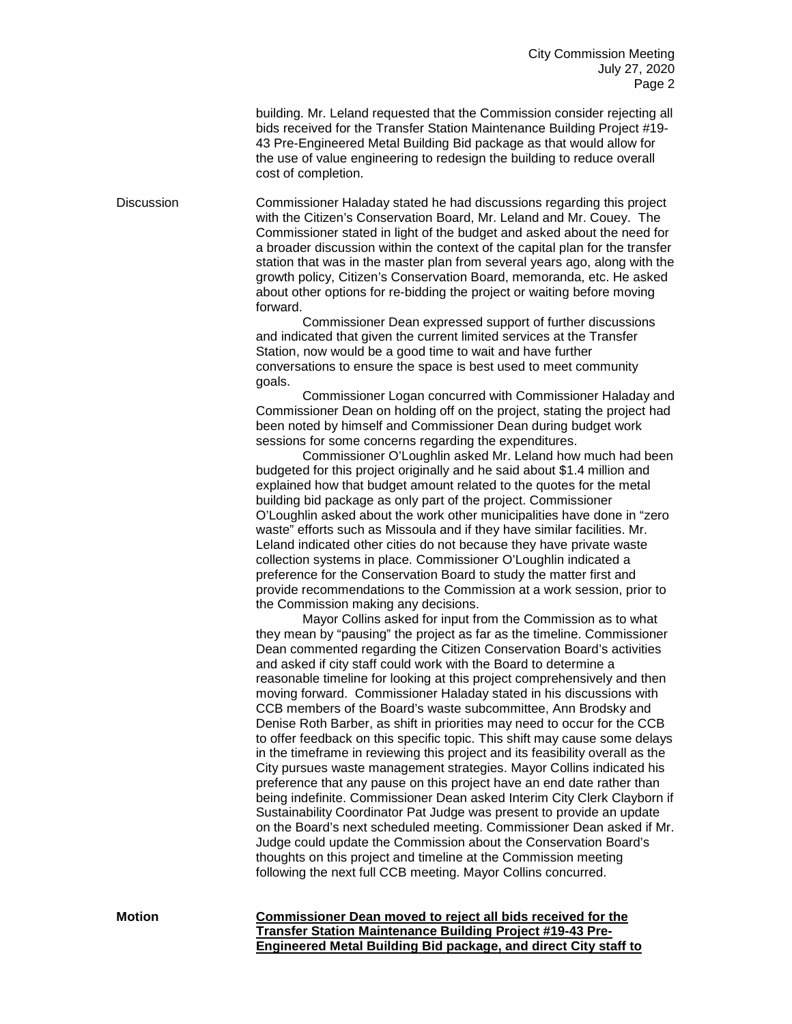building. Mr. Leland requested that the Commission consider rejecting all bids received for the Transfer Station Maintenance Building Project #19- 43 Pre-Engineered Metal Building Bid package as that would allow for the use of value engineering to redesign the building to reduce overall cost of completion.

Discussion Commissioner Haladay stated he had discussions regarding this project with the Citizen's Conservation Board, Mr. Leland and Mr. Couey. The Commissioner stated in light of the budget and asked about the need for a broader discussion within the context of the capital plan for the transfer station that was in the master plan from several years ago, along with the growth policy, Citizen's Conservation Board, memoranda, etc. He asked about other options for re-bidding the project or waiting before moving forward.

> Commissioner Dean expressed support of further discussions and indicated that given the current limited services at the Transfer Station, now would be a good time to wait and have further conversations to ensure the space is best used to meet community goals.

Commissioner Logan concurred with Commissioner Haladay and Commissioner Dean on holding off on the project, stating the project had been noted by himself and Commissioner Dean during budget work sessions for some concerns regarding the expenditures.

Commissioner O'Loughlin asked Mr. Leland how much had been budgeted for this project originally and he said about \$1.4 million and explained how that budget amount related to the quotes for the metal building bid package as only part of the project. Commissioner O'Loughlin asked about the work other municipalities have done in "zero waste" efforts such as Missoula and if they have similar facilities. Mr. Leland indicated other cities do not because they have private waste collection systems in place. Commissioner O'Loughlin indicated a preference for the Conservation Board to study the matter first and provide recommendations to the Commission at a work session, prior to the Commission making any decisions.

Mayor Collins asked for input from the Commission as to what they mean by "pausing" the project as far as the timeline. Commissioner Dean commented regarding the Citizen Conservation Board's activities and asked if city staff could work with the Board to determine a reasonable timeline for looking at this project comprehensively and then moving forward. Commissioner Haladay stated in his discussions with CCB members of the Board's waste subcommittee, Ann Brodsky and Denise Roth Barber, as shift in priorities may need to occur for the CCB to offer feedback on this specific topic. This shift may cause some delays in the timeframe in reviewing this project and its feasibility overall as the City pursues waste management strategies. Mayor Collins indicated his preference that any pause on this project have an end date rather than being indefinite. Commissioner Dean asked Interim City Clerk Clayborn if Sustainability Coordinator Pat Judge was present to provide an update on the Board's next scheduled meeting. Commissioner Dean asked if Mr. Judge could update the Commission about the Conservation Board's thoughts on this project and timeline at the Commission meeting following the next full CCB meeting. Mayor Collins concurred.

**Motion Commissioner Dean moved to reject all bids received for the Transfer Station Maintenance Building Project #19-43 Pre-Engineered Metal Building Bid package, and direct City staff to**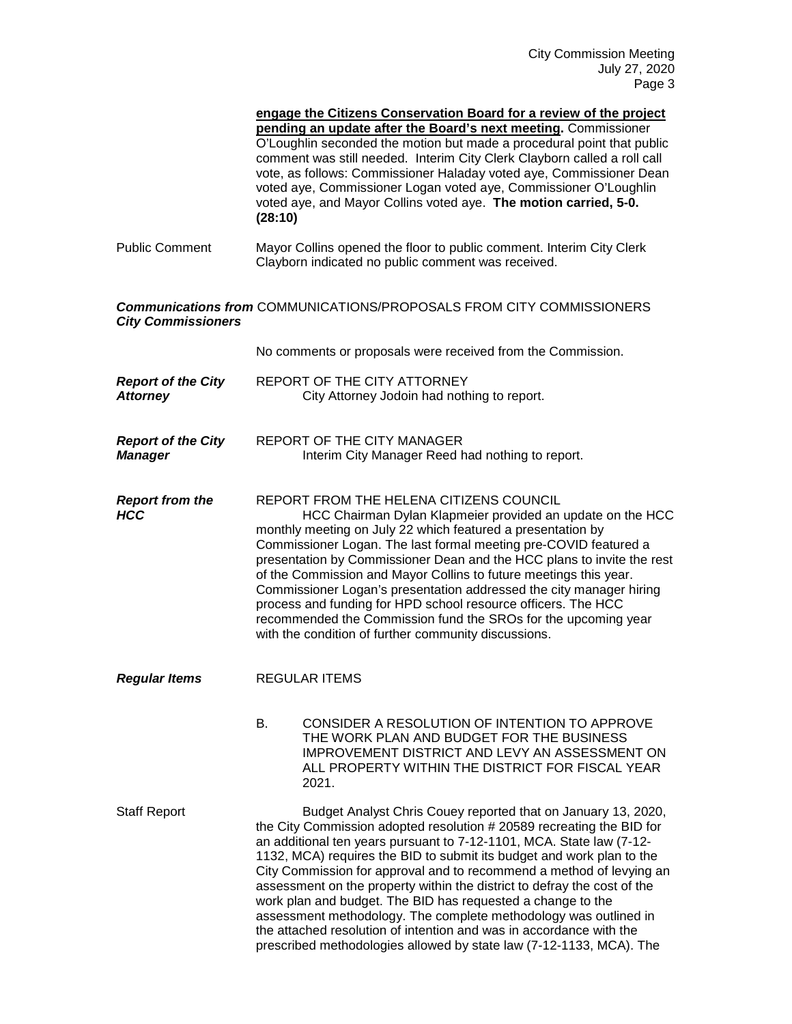|                                              | engage the Citizens Conservation Board for a review of the project<br>pending an update after the Board's next meeting. Commissioner<br>O'Loughlin seconded the motion but made a procedural point that public<br>comment was still needed. Interim City Clerk Clayborn called a roll call<br>vote, as follows: Commissioner Haladay voted aye, Commissioner Dean<br>voted aye, Commissioner Logan voted aye, Commissioner O'Loughlin<br>voted aye, and Mayor Collins voted aye. The motion carried, 5-0.<br>(28:10)                                                                                                                                                                                                         |
|----------------------------------------------|------------------------------------------------------------------------------------------------------------------------------------------------------------------------------------------------------------------------------------------------------------------------------------------------------------------------------------------------------------------------------------------------------------------------------------------------------------------------------------------------------------------------------------------------------------------------------------------------------------------------------------------------------------------------------------------------------------------------------|
| <b>Public Comment</b>                        | Mayor Collins opened the floor to public comment. Interim City Clerk<br>Clayborn indicated no public comment was received.                                                                                                                                                                                                                                                                                                                                                                                                                                                                                                                                                                                                   |
| <b>City Commissioners</b>                    | <b>Communications from COMMUNICATIONS/PROPOSALS FROM CITY COMMISSIONERS</b>                                                                                                                                                                                                                                                                                                                                                                                                                                                                                                                                                                                                                                                  |
|                                              | No comments or proposals were received from the Commission.                                                                                                                                                                                                                                                                                                                                                                                                                                                                                                                                                                                                                                                                  |
| <b>Report of the City</b><br><b>Attorney</b> | REPORT OF THE CITY ATTORNEY<br>City Attorney Jodoin had nothing to report.                                                                                                                                                                                                                                                                                                                                                                                                                                                                                                                                                                                                                                                   |
| <b>Report of the City</b><br><b>Manager</b>  | <b>REPORT OF THE CITY MANAGER</b><br>Interim City Manager Reed had nothing to report.                                                                                                                                                                                                                                                                                                                                                                                                                                                                                                                                                                                                                                        |
| <b>Report from the</b><br><b>HCC</b>         | REPORT FROM THE HELENA CITIZENS COUNCIL<br>HCC Chairman Dylan Klapmeier provided an update on the HCC<br>monthly meeting on July 22 which featured a presentation by<br>Commissioner Logan. The last formal meeting pre-COVID featured a<br>presentation by Commissioner Dean and the HCC plans to invite the rest<br>of the Commission and Mayor Collins to future meetings this year.<br>Commissioner Logan's presentation addressed the city manager hiring<br>process and funding for HPD school resource officers. The HCC<br>recommended the Commission fund the SROs for the upcoming year<br>with the condition of further community discussions.                                                                    |
| <b>Regular Items</b>                         | <b>REGULAR ITEMS</b>                                                                                                                                                                                                                                                                                                                                                                                                                                                                                                                                                                                                                                                                                                         |
|                                              | В.<br>CONSIDER A RESOLUTION OF INTENTION TO APPROVE<br>THE WORK PLAN AND BUDGET FOR THE BUSINESS<br>IMPROVEMENT DISTRICT AND LEVY AN ASSESSMENT ON<br>ALL PROPERTY WITHIN THE DISTRICT FOR FISCAL YEAR<br>2021.                                                                                                                                                                                                                                                                                                                                                                                                                                                                                                              |
| <b>Staff Report</b>                          | Budget Analyst Chris Couey reported that on January 13, 2020,<br>the City Commission adopted resolution # 20589 recreating the BID for<br>an additional ten years pursuant to 7-12-1101, MCA. State law (7-12-<br>1132, MCA) requires the BID to submit its budget and work plan to the<br>City Commission for approval and to recommend a method of levying an<br>assessment on the property within the district to defray the cost of the<br>work plan and budget. The BID has requested a change to the<br>assessment methodology. The complete methodology was outlined in<br>the attached resolution of intention and was in accordance with the<br>prescribed methodologies allowed by state law (7-12-1133, MCA). The |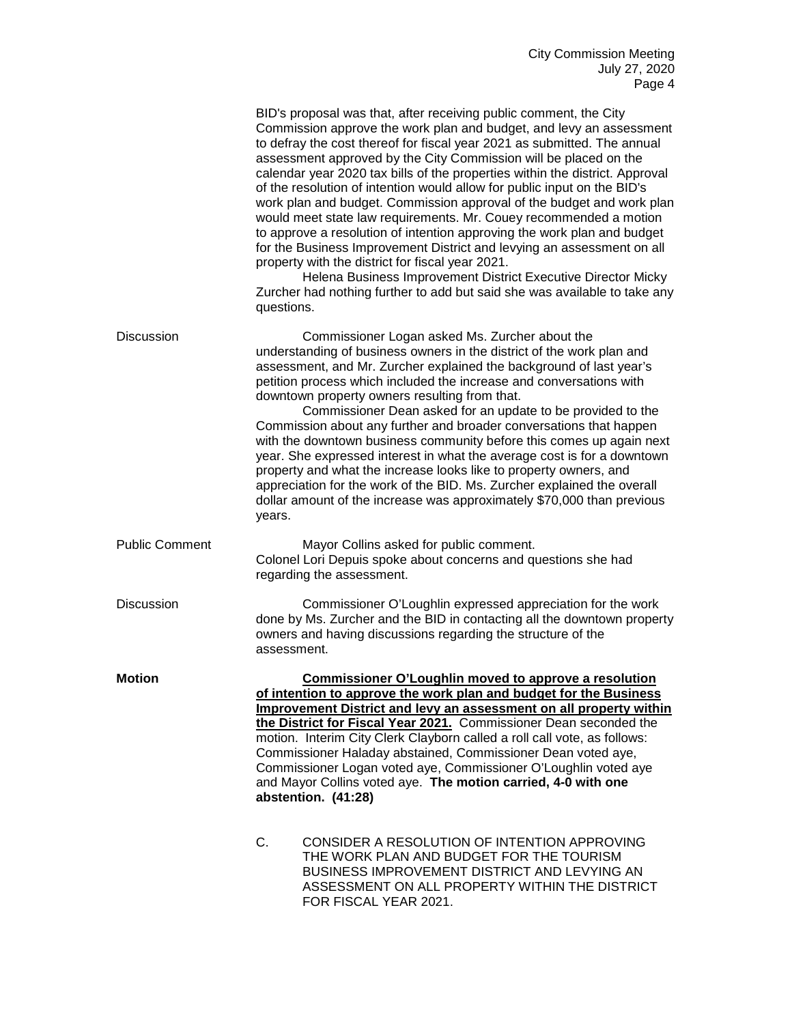|                       | BID's proposal was that, after receiving public comment, the City<br>Commission approve the work plan and budget, and levy an assessment<br>to defray the cost thereof for fiscal year 2021 as submitted. The annual<br>assessment approved by the City Commission will be placed on the<br>calendar year 2020 tax bills of the properties within the district. Approval<br>of the resolution of intention would allow for public input on the BID's<br>work plan and budget. Commission approval of the budget and work plan<br>would meet state law requirements. Mr. Couey recommended a motion<br>to approve a resolution of intention approving the work plan and budget<br>for the Business Improvement District and levying an assessment on all<br>property with the district for fiscal year 2021.<br>Helena Business Improvement District Executive Director Micky<br>Zurcher had nothing further to add but said she was available to take any<br>questions. |  |
|-----------------------|-------------------------------------------------------------------------------------------------------------------------------------------------------------------------------------------------------------------------------------------------------------------------------------------------------------------------------------------------------------------------------------------------------------------------------------------------------------------------------------------------------------------------------------------------------------------------------------------------------------------------------------------------------------------------------------------------------------------------------------------------------------------------------------------------------------------------------------------------------------------------------------------------------------------------------------------------------------------------|--|
| <b>Discussion</b>     | Commissioner Logan asked Ms. Zurcher about the<br>understanding of business owners in the district of the work plan and<br>assessment, and Mr. Zurcher explained the background of last year's<br>petition process which included the increase and conversations with<br>downtown property owners resulting from that.<br>Commissioner Dean asked for an update to be provided to the<br>Commission about any further and broader conversations that happen<br>with the downtown business community before this comes up again next<br>year. She expressed interest in what the average cost is for a downtown<br>property and what the increase looks like to property owners, and<br>appreciation for the work of the BID. Ms. Zurcher explained the overall<br>dollar amount of the increase was approximately \$70,000 than previous<br>years.                                                                                                                      |  |
| <b>Public Comment</b> | Mayor Collins asked for public comment.<br>Colonel Lori Depuis spoke about concerns and questions she had<br>regarding the assessment.                                                                                                                                                                                                                                                                                                                                                                                                                                                                                                                                                                                                                                                                                                                                                                                                                                  |  |
| <b>Discussion</b>     | Commissioner O'Loughlin expressed appreciation for the work<br>done by Ms. Zurcher and the BID in contacting all the downtown property<br>owners and having discussions regarding the structure of the<br>assessment.                                                                                                                                                                                                                                                                                                                                                                                                                                                                                                                                                                                                                                                                                                                                                   |  |
| <b>Motion</b>         | <b>Commissioner O'Loughlin moved to approve a resolution</b><br>of intention to approve the work plan and budget for the Business<br>Improvement District and levy an assessment on all property within<br>the District for Fiscal Year 2021. Commissioner Dean seconded the<br>motion. Interim City Clerk Clayborn called a roll call vote, as follows:<br>Commissioner Haladay abstained, Commissioner Dean voted aye,<br>Commissioner Logan voted aye, Commissioner O'Loughlin voted aye<br>and Mayor Collins voted aye. The motion carried, 4-0 with one<br>abstention. (41:28)                                                                                                                                                                                                                                                                                                                                                                                     |  |
|                       | C.<br>CONSIDER A RESOLUTION OF INTENTION APPROVING<br>THE WORK PLAN AND BUDGET FOR THE TOURISM<br>BUSINESS IMPROVEMENT DISTRICT AND LEVYING AN<br>ASSESSMENT ON ALL PROPERTY WITHIN THE DISTRICT<br>FOR FISCAL YEAR 2021.                                                                                                                                                                                                                                                                                                                                                                                                                                                                                                                                                                                                                                                                                                                                               |  |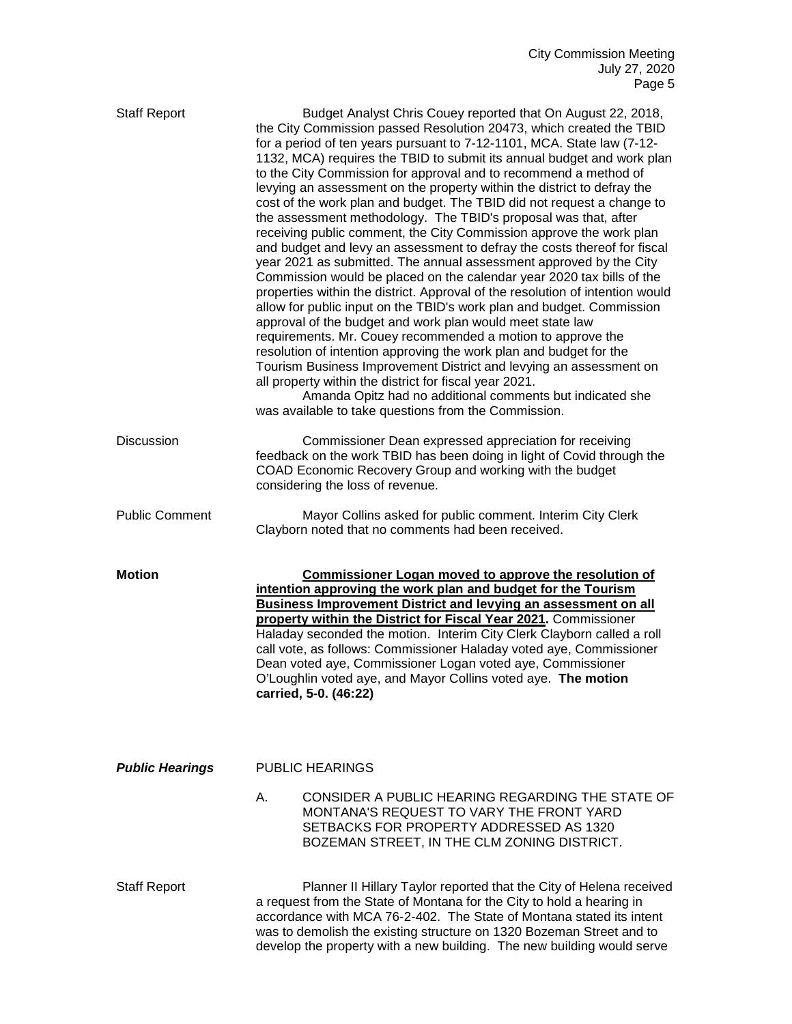| <b>Staff Report</b>    | Budget Analyst Chris Couey reported that On August 22, 2018,<br>the City Commission passed Resolution 20473, which created the TBID<br>for a period of ten years pursuant to 7-12-1101, MCA. State law (7-12-<br>1132, MCA) requires the TBID to submit its annual budget and work plan<br>to the City Commission for approval and to recommend a method of<br>levying an assessment on the property within the district to defray the<br>cost of the work plan and budget. The TBID did not request a change to<br>the assessment methodology. The TBID's proposal was that, after<br>receiving public comment, the City Commission approve the work plan<br>and budget and levy an assessment to defray the costs thereof for fiscal<br>year 2021 as submitted. The annual assessment approved by the City<br>Commission would be placed on the calendar year 2020 tax bills of the<br>properties within the district. Approval of the resolution of intention would<br>allow for public input on the TBID's work plan and budget. Commission<br>approval of the budget and work plan would meet state law<br>requirements. Mr. Couey recommended a motion to approve the<br>resolution of intention approving the work plan and budget for the<br>Tourism Business Improvement District and levying an assessment on<br>all property within the district for fiscal year 2021.<br>Amanda Opitz had no additional comments but indicated she<br>was available to take questions from the Commission. |
|------------------------|--------------------------------------------------------------------------------------------------------------------------------------------------------------------------------------------------------------------------------------------------------------------------------------------------------------------------------------------------------------------------------------------------------------------------------------------------------------------------------------------------------------------------------------------------------------------------------------------------------------------------------------------------------------------------------------------------------------------------------------------------------------------------------------------------------------------------------------------------------------------------------------------------------------------------------------------------------------------------------------------------------------------------------------------------------------------------------------------------------------------------------------------------------------------------------------------------------------------------------------------------------------------------------------------------------------------------------------------------------------------------------------------------------------------------------------------------------------------------------------------------------|
| <b>Discussion</b>      | Commissioner Dean expressed appreciation for receiving<br>feedback on the work TBID has been doing in light of Covid through the<br>COAD Economic Recovery Group and working with the budget<br>considering the loss of revenue.                                                                                                                                                                                                                                                                                                                                                                                                                                                                                                                                                                                                                                                                                                                                                                                                                                                                                                                                                                                                                                                                                                                                                                                                                                                                       |
| <b>Public Comment</b>  | Mayor Collins asked for public comment. Interim City Clerk<br>Clayborn noted that no comments had been received.                                                                                                                                                                                                                                                                                                                                                                                                                                                                                                                                                                                                                                                                                                                                                                                                                                                                                                                                                                                                                                                                                                                                                                                                                                                                                                                                                                                       |
| <b>Motion</b>          | <b>Commissioner Logan moved to approve the resolution of</b><br>intention approving the work plan and budget for the Tourism<br><b>Business Improvement District and levying an assessment on all</b><br>property within the District for Fiscal Year 2021. Commissioner<br>Haladay seconded the motion. Interim City Clerk Clayborn called a roll<br>call vote, as follows: Commissioner Haladay voted aye, Commissioner<br>Dean voted aye, Commissioner Logan voted aye, Commissioner<br>O'Loughlin voted aye, and Mayor Collins voted aye. The motion<br>carried, 5-0. (46:22)                                                                                                                                                                                                                                                                                                                                                                                                                                                                                                                                                                                                                                                                                                                                                                                                                                                                                                                      |
| <b>Public Hearings</b> | <b>PUBLIC HEARINGS</b>                                                                                                                                                                                                                                                                                                                                                                                                                                                                                                                                                                                                                                                                                                                                                                                                                                                                                                                                                                                                                                                                                                                                                                                                                                                                                                                                                                                                                                                                                 |
|                        | CONSIDER A PUBLIC HEARING REGARDING THE STATE OF<br>А.<br>MONTANA'S REQUEST TO VARY THE FRONT YARD<br>SETBACKS FOR PROPERTY ADDRESSED AS 1320<br>BOZEMAN STREET, IN THE CLM ZONING DISTRICT.                                                                                                                                                                                                                                                                                                                                                                                                                                                                                                                                                                                                                                                                                                                                                                                                                                                                                                                                                                                                                                                                                                                                                                                                                                                                                                           |
| <b>Staff Report</b>    | Planner II Hillary Taylor reported that the City of Helena received<br>a request from the State of Montana for the City to hold a hearing in<br>accordance with MCA 76-2-402. The State of Montana stated its intent<br>was to demolish the existing structure on 1320 Bozeman Street and to<br>develop the property with a new building. The new building would serve                                                                                                                                                                                                                                                                                                                                                                                                                                                                                                                                                                                                                                                                                                                                                                                                                                                                                                                                                                                                                                                                                                                                 |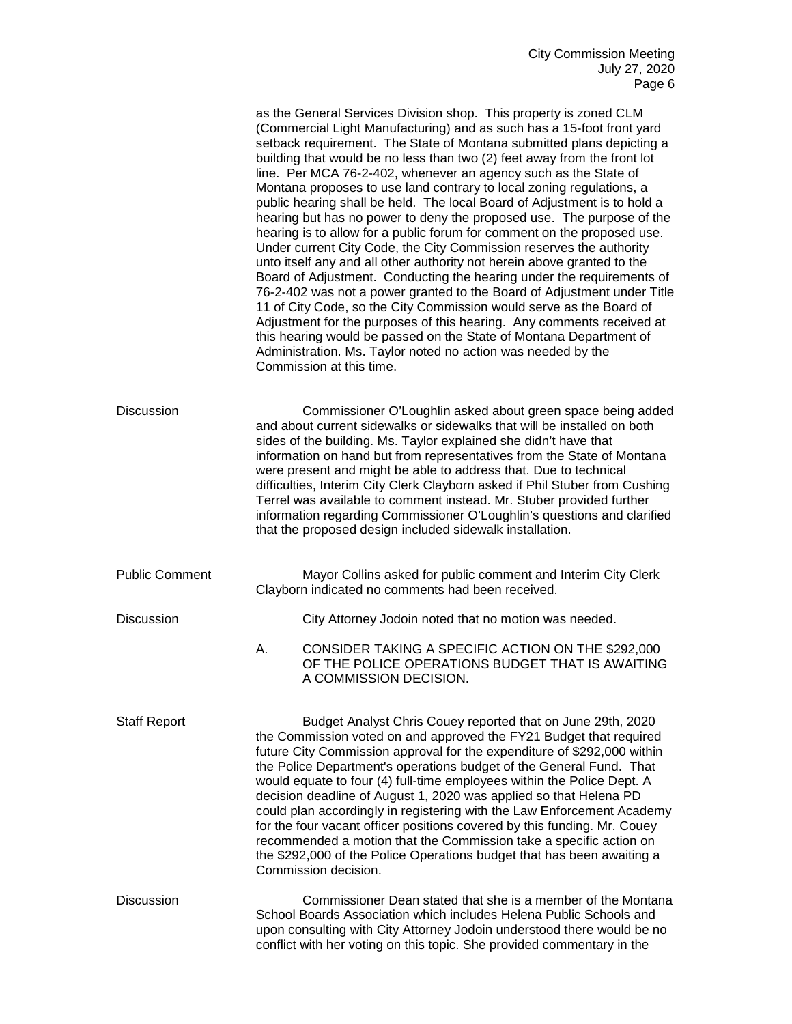|                       |                                                                                                                                                                                                                                                                                                                                                                                                                                                                                                                                                                                                                                                                                                                                                                  | as the General Services Division shop. This property is zoned CLM<br>(Commercial Light Manufacturing) and as such has a 15-foot front yard<br>setback requirement. The State of Montana submitted plans depicting a<br>building that would be no less than two (2) feet away from the front lot<br>line. Per MCA 76-2-402, whenever an agency such as the State of<br>Montana proposes to use land contrary to local zoning regulations, a<br>public hearing shall be held. The local Board of Adjustment is to hold a<br>hearing but has no power to deny the proposed use. The purpose of the<br>hearing is to allow for a public forum for comment on the proposed use.<br>Under current City Code, the City Commission reserves the authority<br>unto itself any and all other authority not herein above granted to the<br>Board of Adjustment. Conducting the hearing under the requirements of<br>76-2-402 was not a power granted to the Board of Adjustment under Title<br>11 of City Code, so the City Commission would serve as the Board of<br>Adjustment for the purposes of this hearing. Any comments received at<br>this hearing would be passed on the State of Montana Department of<br>Administration. Ms. Taylor noted no action was needed by the<br>Commission at this time. |
|-----------------------|------------------------------------------------------------------------------------------------------------------------------------------------------------------------------------------------------------------------------------------------------------------------------------------------------------------------------------------------------------------------------------------------------------------------------------------------------------------------------------------------------------------------------------------------------------------------------------------------------------------------------------------------------------------------------------------------------------------------------------------------------------------|----------------------------------------------------------------------------------------------------------------------------------------------------------------------------------------------------------------------------------------------------------------------------------------------------------------------------------------------------------------------------------------------------------------------------------------------------------------------------------------------------------------------------------------------------------------------------------------------------------------------------------------------------------------------------------------------------------------------------------------------------------------------------------------------------------------------------------------------------------------------------------------------------------------------------------------------------------------------------------------------------------------------------------------------------------------------------------------------------------------------------------------------------------------------------------------------------------------------------------------------------------------------------------------------------|
| <b>Discussion</b>     |                                                                                                                                                                                                                                                                                                                                                                                                                                                                                                                                                                                                                                                                                                                                                                  | Commissioner O'Loughlin asked about green space being added<br>and about current sidewalks or sidewalks that will be installed on both<br>sides of the building. Ms. Taylor explained she didn't have that<br>information on hand but from representatives from the State of Montana<br>were present and might be able to address that. Due to technical<br>difficulties, Interim City Clerk Clayborn asked if Phil Stuber from Cushing<br>Terrel was available to comment instead. Mr. Stuber provided further<br>information regarding Commissioner O'Loughlin's questions and clarified<br>that the proposed design included sidewalk installation.                                                                                                                                                                                                                                                                                                                                                                                                                                                                                                                                                                                                                                             |
| <b>Public Comment</b> |                                                                                                                                                                                                                                                                                                                                                                                                                                                                                                                                                                                                                                                                                                                                                                  | Mayor Collins asked for public comment and Interim City Clerk<br>Clayborn indicated no comments had been received.                                                                                                                                                                                                                                                                                                                                                                                                                                                                                                                                                                                                                                                                                                                                                                                                                                                                                                                                                                                                                                                                                                                                                                                 |
| <b>Discussion</b>     |                                                                                                                                                                                                                                                                                                                                                                                                                                                                                                                                                                                                                                                                                                                                                                  | City Attorney Jodoin noted that no motion was needed.                                                                                                                                                                                                                                                                                                                                                                                                                                                                                                                                                                                                                                                                                                                                                                                                                                                                                                                                                                                                                                                                                                                                                                                                                                              |
|                       | А.                                                                                                                                                                                                                                                                                                                                                                                                                                                                                                                                                                                                                                                                                                                                                               | CONSIDER TAKING A SPECIFIC ACTION ON THE \$292,000<br>OF THE POLICE OPERATIONS BUDGET THAT IS AWAITING<br>A COMMISSION DECISION.                                                                                                                                                                                                                                                                                                                                                                                                                                                                                                                                                                                                                                                                                                                                                                                                                                                                                                                                                                                                                                                                                                                                                                   |
| <b>Staff Report</b>   | Budget Analyst Chris Couey reported that on June 29th, 2020<br>the Commission voted on and approved the FY21 Budget that required<br>future City Commission approval for the expenditure of \$292,000 within<br>the Police Department's operations budget of the General Fund. That<br>would equate to four (4) full-time employees within the Police Dept. A<br>decision deadline of August 1, 2020 was applied so that Helena PD<br>could plan accordingly in registering with the Law Enforcement Academy<br>for the four vacant officer positions covered by this funding. Mr. Couey<br>recommended a motion that the Commission take a specific action on<br>the \$292,000 of the Police Operations budget that has been awaiting a<br>Commission decision. |                                                                                                                                                                                                                                                                                                                                                                                                                                                                                                                                                                                                                                                                                                                                                                                                                                                                                                                                                                                                                                                                                                                                                                                                                                                                                                    |
| <b>Discussion</b>     |                                                                                                                                                                                                                                                                                                                                                                                                                                                                                                                                                                                                                                                                                                                                                                  | Commissioner Dean stated that she is a member of the Montana<br>School Boards Association which includes Helena Public Schools and<br>upon consulting with City Attorney Jodoin understood there would be no<br>conflict with her voting on this topic. She provided commentary in the                                                                                                                                                                                                                                                                                                                                                                                                                                                                                                                                                                                                                                                                                                                                                                                                                                                                                                                                                                                                             |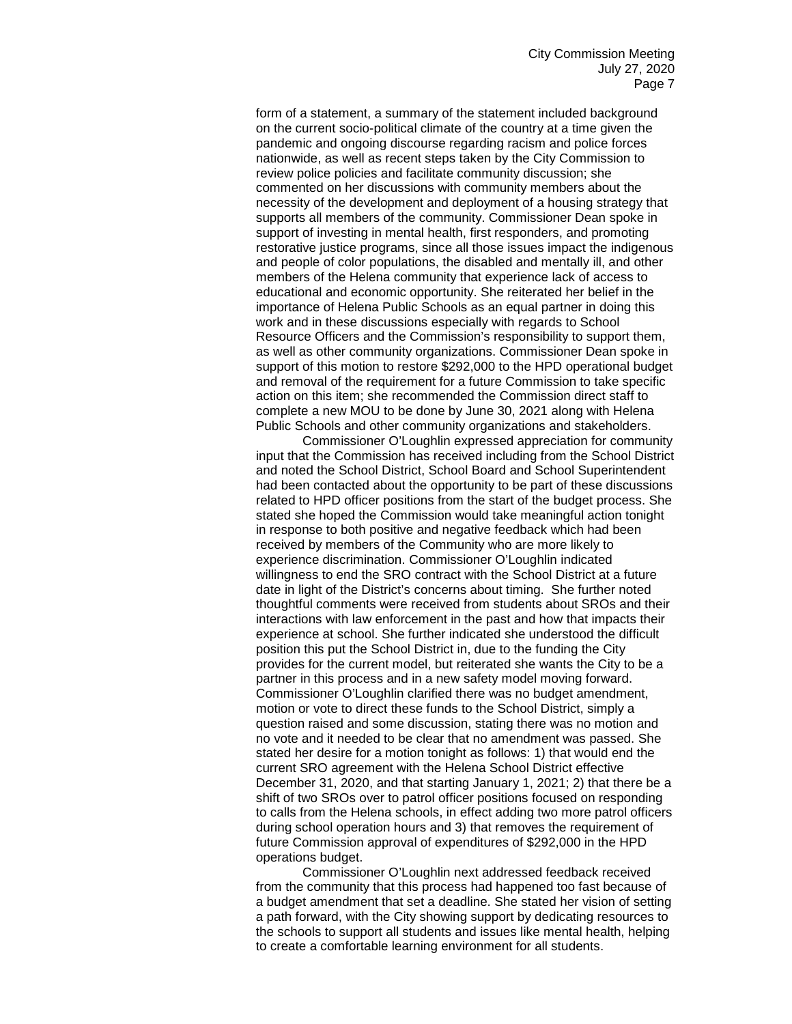form of a statement, a summary of the statement included background on the current socio-political climate of the country at a time given the pandemic and ongoing discourse regarding racism and police forces nationwide, as well as recent steps taken by the City Commission to review police policies and facilitate community discussion; she commented on her discussions with community members about the necessity of the development and deployment of a housing strategy that supports all members of the community. Commissioner Dean spoke in support of investing in mental health, first responders, and promoting restorative justice programs, since all those issues impact the indigenous and people of color populations, the disabled and mentally ill, and other members of the Helena community that experience lack of access to educational and economic opportunity. She reiterated her belief in the importance of Helena Public Schools as an equal partner in doing this work and in these discussions especially with regards to School Resource Officers and the Commission's responsibility to support them, as well as other community organizations. Commissioner Dean spoke in support of this motion to restore \$292,000 to the HPD operational budget and removal of the requirement for a future Commission to take specific action on this item; she recommended the Commission direct staff to complete a new MOU to be done by June 30, 2021 along with Helena Public Schools and other community organizations and stakeholders.

Commissioner O'Loughlin expressed appreciation for community input that the Commission has received including from the School District and noted the School District, School Board and School Superintendent had been contacted about the opportunity to be part of these discussions related to HPD officer positions from the start of the budget process. She stated she hoped the Commission would take meaningful action tonight in response to both positive and negative feedback which had been received by members of the Community who are more likely to experience discrimination. Commissioner O'Loughlin indicated willingness to end the SRO contract with the School District at a future date in light of the District's concerns about timing. She further noted thoughtful comments were received from students about SROs and their interactions with law enforcement in the past and how that impacts their experience at school. She further indicated she understood the difficult position this put the School District in, due to the funding the City provides for the current model, but reiterated she wants the City to be a partner in this process and in a new safety model moving forward. Commissioner O'Loughlin clarified there was no budget amendment, motion or vote to direct these funds to the School District, simply a question raised and some discussion, stating there was no motion and no vote and it needed to be clear that no amendment was passed. She stated her desire for a motion tonight as follows: 1) that would end the current SRO agreement with the Helena School District effective December 31, 2020, and that starting January 1, 2021; 2) that there be a shift of two SROs over to patrol officer positions focused on responding to calls from the Helena schools, in effect adding two more patrol officers during school operation hours and 3) that removes the requirement of future Commission approval of expenditures of \$292,000 in the HPD operations budget.

Commissioner O'Loughlin next addressed feedback received from the community that this process had happened too fast because of a budget amendment that set a deadline. She stated her vision of setting a path forward, with the City showing support by dedicating resources to the schools to support all students and issues like mental health, helping to create a comfortable learning environment for all students.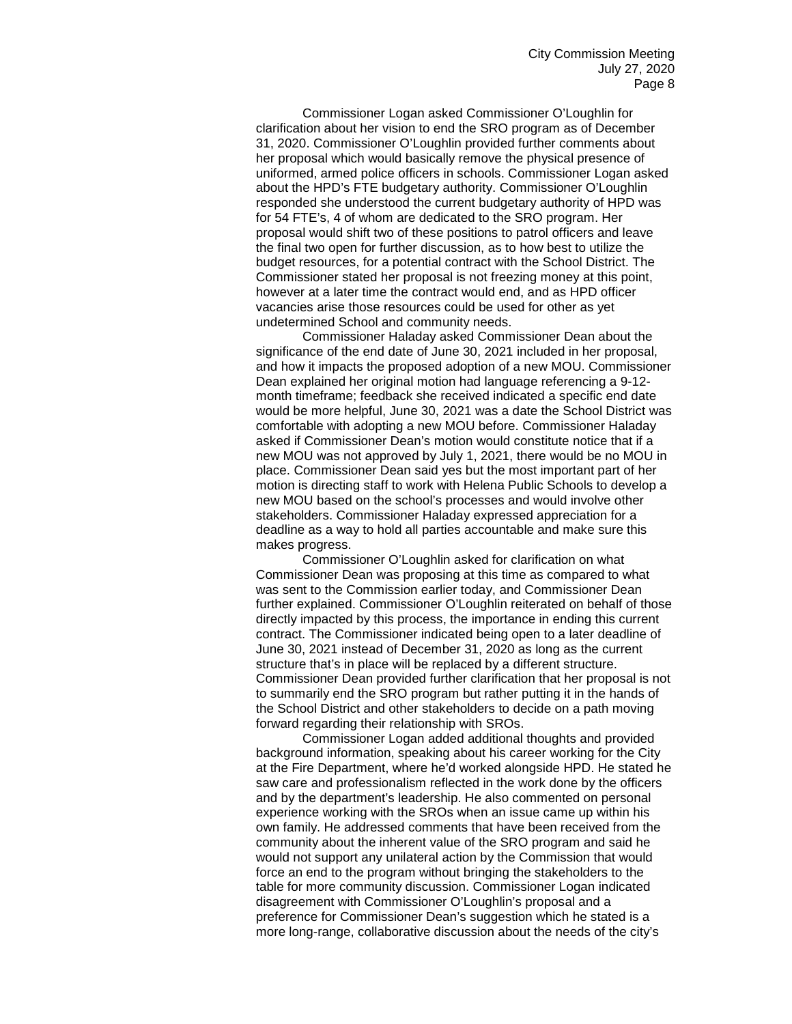Commissioner Logan asked Commissioner O'Loughlin for clarification about her vision to end the SRO program as of December 31, 2020. Commissioner O'Loughlin provided further comments about her proposal which would basically remove the physical presence of uniformed, armed police officers in schools. Commissioner Logan asked about the HPD's FTE budgetary authority. Commissioner O'Loughlin responded she understood the current budgetary authority of HPD was for 54 FTE's, 4 of whom are dedicated to the SRO program. Her proposal would shift two of these positions to patrol officers and leave the final two open for further discussion, as to how best to utilize the budget resources, for a potential contract with the School District. The Commissioner stated her proposal is not freezing money at this point, however at a later time the contract would end, and as HPD officer vacancies arise those resources could be used for other as yet undetermined School and community needs.

Commissioner Haladay asked Commissioner Dean about the significance of the end date of June 30, 2021 included in her proposal, and how it impacts the proposed adoption of a new MOU. Commissioner Dean explained her original motion had language referencing a 9-12 month timeframe; feedback she received indicated a specific end date would be more helpful, June 30, 2021 was a date the School District was comfortable with adopting a new MOU before. Commissioner Haladay asked if Commissioner Dean's motion would constitute notice that if a new MOU was not approved by July 1, 2021, there would be no MOU in place. Commissioner Dean said yes but the most important part of her motion is directing staff to work with Helena Public Schools to develop a new MOU based on the school's processes and would involve other stakeholders. Commissioner Haladay expressed appreciation for a deadline as a way to hold all parties accountable and make sure this makes progress.

Commissioner O'Loughlin asked for clarification on what Commissioner Dean was proposing at this time as compared to what was sent to the Commission earlier today, and Commissioner Dean further explained. Commissioner O'Loughlin reiterated on behalf of those directly impacted by this process, the importance in ending this current contract. The Commissioner indicated being open to a later deadline of June 30, 2021 instead of December 31, 2020 as long as the current structure that's in place will be replaced by a different structure. Commissioner Dean provided further clarification that her proposal is not to summarily end the SRO program but rather putting it in the hands of the School District and other stakeholders to decide on a path moving forward regarding their relationship with SROs.

Commissioner Logan added additional thoughts and provided background information, speaking about his career working for the City at the Fire Department, where he'd worked alongside HPD. He stated he saw care and professionalism reflected in the work done by the officers and by the department's leadership. He also commented on personal experience working with the SROs when an issue came up within his own family. He addressed comments that have been received from the community about the inherent value of the SRO program and said he would not support any unilateral action by the Commission that would force an end to the program without bringing the stakeholders to the table for more community discussion. Commissioner Logan indicated disagreement with Commissioner O'Loughlin's proposal and a preference for Commissioner Dean's suggestion which he stated is a more long-range, collaborative discussion about the needs of the city's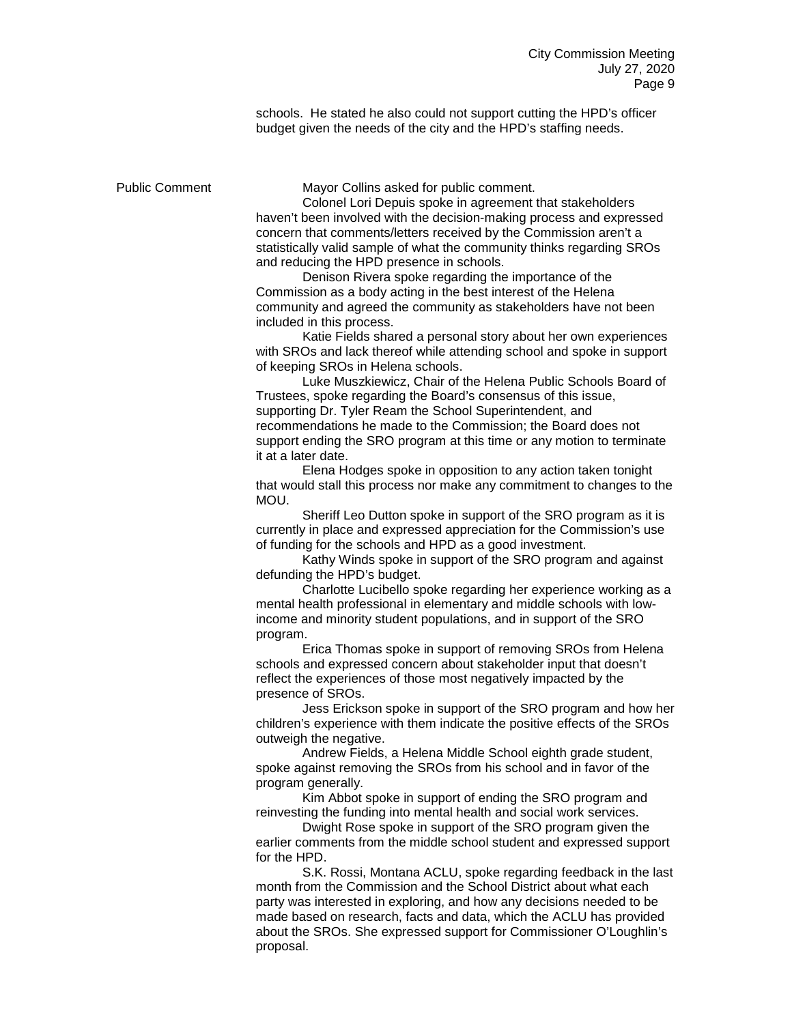schools. He stated he also could not support cutting the HPD's officer budget given the needs of the city and the HPD's staffing needs.

Public Comment Mayor Collins asked for public comment.

Colonel Lori Depuis spoke in agreement that stakeholders haven't been involved with the decision-making process and expressed concern that comments/letters received by the Commission aren't a statistically valid sample of what the community thinks regarding SROs and reducing the HPD presence in schools.

Denison Rivera spoke regarding the importance of the Commission as a body acting in the best interest of the Helena community and agreed the community as stakeholders have not been included in this process.

Katie Fields shared a personal story about her own experiences with SROs and lack thereof while attending school and spoke in support of keeping SROs in Helena schools.

Luke Muszkiewicz, Chair of the Helena Public Schools Board of Trustees, spoke regarding the Board's consensus of this issue, supporting Dr. Tyler Ream the School Superintendent, and recommendations he made to the Commission; the Board does not support ending the SRO program at this time or any motion to terminate it at a later date.

Elena Hodges spoke in opposition to any action taken tonight that would stall this process nor make any commitment to changes to the MOU.

Sheriff Leo Dutton spoke in support of the SRO program as it is currently in place and expressed appreciation for the Commission's use of funding for the schools and HPD as a good investment.

Kathy Winds spoke in support of the SRO program and against defunding the HPD's budget.

Charlotte Lucibello spoke regarding her experience working as a mental health professional in elementary and middle schools with lowincome and minority student populations, and in support of the SRO program.

Erica Thomas spoke in support of removing SROs from Helena schools and expressed concern about stakeholder input that doesn't reflect the experiences of those most negatively impacted by the presence of SROs.

Jess Erickson spoke in support of the SRO program and how her children's experience with them indicate the positive effects of the SROs outweigh the negative.

Andrew Fields, a Helena Middle School eighth grade student, spoke against removing the SROs from his school and in favor of the program generally.

Kim Abbot spoke in support of ending the SRO program and reinvesting the funding into mental health and social work services.

Dwight Rose spoke in support of the SRO program given the earlier comments from the middle school student and expressed support for the HPD.

S.K. Rossi, Montana ACLU, spoke regarding feedback in the last month from the Commission and the School District about what each party was interested in exploring, and how any decisions needed to be made based on research, facts and data, which the ACLU has provided about the SROs. She expressed support for Commissioner O'Loughlin's proposal.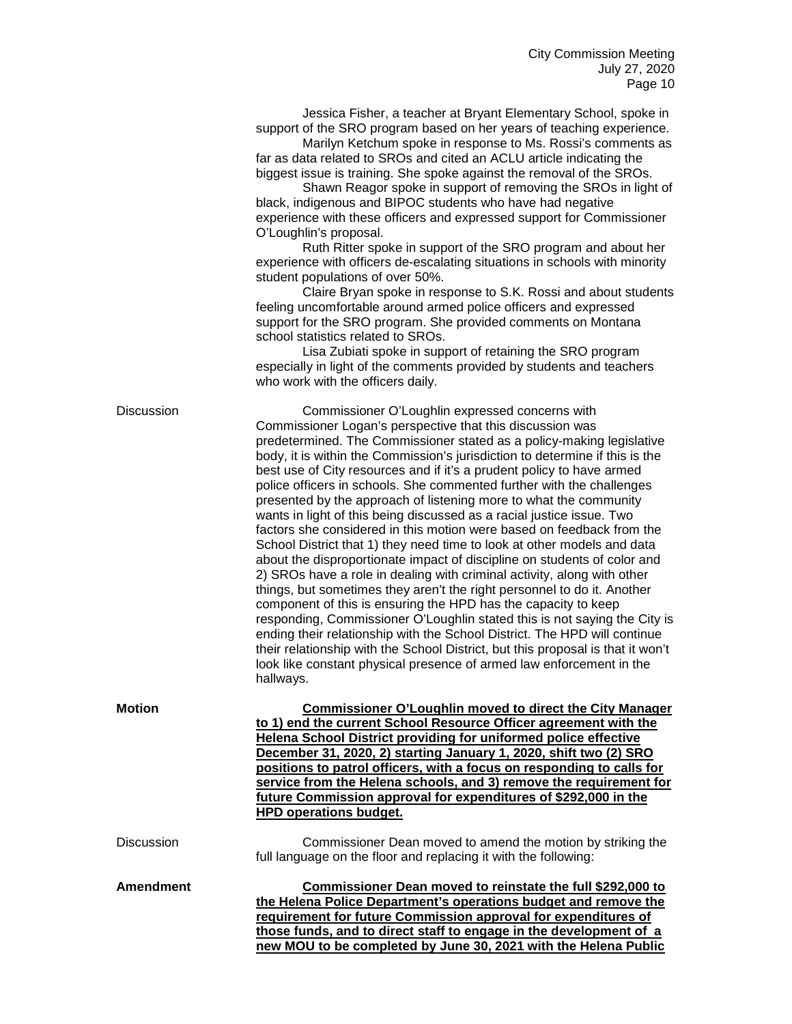Jessica Fisher, a teacher at Bryant Elementary School, spoke in support of the SRO program based on her years of teaching experience.

Marilyn Ketchum spoke in response to Ms. Rossi's comments as far as data related to SROs and cited an ACLU article indicating the biggest issue is training. She spoke against the removal of the SROs.

Shawn Reagor spoke in support of removing the SROs in light of black, indigenous and BIPOC students who have had negative experience with these officers and expressed support for Commissioner O'Loughlin's proposal.

Ruth Ritter spoke in support of the SRO program and about her experience with officers de-escalating situations in schools with minority student populations of over 50%.

Claire Bryan spoke in response to S.K. Rossi and about students feeling uncomfortable around armed police officers and expressed support for the SRO program. She provided comments on Montana school statistics related to SROs.

Lisa Zubiati spoke in support of retaining the SRO program especially in light of the comments provided by students and teachers who work with the officers daily.

**those funds, and to direct staff to engage in the development of a new MOU to be completed by June 30, 2021 with the Helena Public** 

Discussion Commissioner O'Loughlin expressed concerns with Commissioner Logan's perspective that this discussion was predetermined. The Commissioner stated as a policy-making legislative body, it is within the Commission's jurisdiction to determine if this is the best use of City resources and if it's a prudent policy to have armed police officers in schools. She commented further with the challenges presented by the approach of listening more to what the community wants in light of this being discussed as a racial justice issue. Two factors she considered in this motion were based on feedback from the School District that 1) they need time to look at other models and data about the disproportionate impact of discipline on students of color and 2) SROs have a role in dealing with criminal activity, along with other things, but sometimes they aren't the right personnel to do it. Another component of this is ensuring the HPD has the capacity to keep responding, Commissioner O'Loughlin stated this is not saying the City is ending their relationship with the School District. The HPD will continue their relationship with the School District, but this proposal is that it won't look like constant physical presence of armed law enforcement in the hallways. **Motion Commissioner O'Loughlin moved to direct the City Manager to 1) end the current School Resource Officer agreement with the Helena School District providing for uniformed police effective December 31, 2020, 2) starting January 1, 2020, shift two (2) SRO positions to patrol officers, with a focus on responding to calls for service from the Helena schools, and 3) remove the requirement for future Commission approval for expenditures of \$292,000 in the HPD operations budget.**  Discussion Commissioner Dean moved to amend the motion by striking the full language on the floor and replacing it with the following: **Amendment Commissioner Dean moved to reinstate the full \$292,000 to the Helena Police Department's operations budget and remove the requirement for future Commission approval for expenditures of**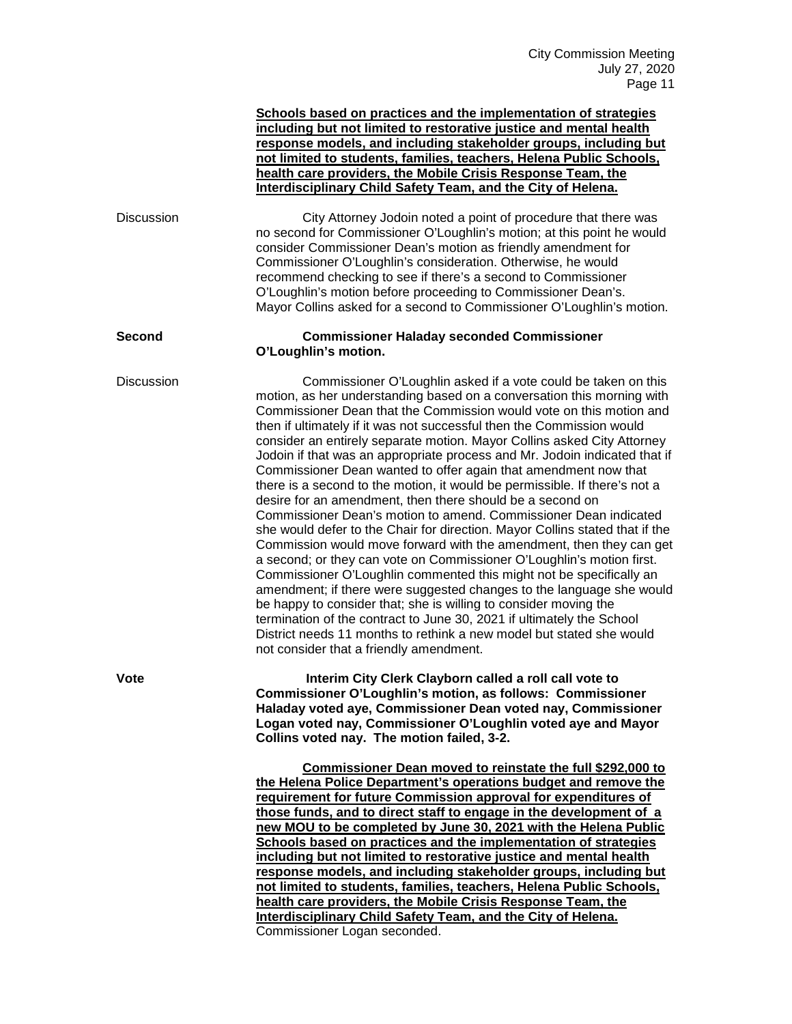|                   | Schools based on practices and the implementation of strategies<br>including but not limited to restorative justice and mental health<br>response models, and including stakeholder groups, including but<br>not limited to students, families, teachers, Helena Public Schools,<br>health care providers, the Mobile Crisis Response Team, the<br>Interdisciplinary Child Safety Team, and the City of Helena.                                                                                                                                                                                                                                                                                                                                                                                                                                                                                                                                                                                                                                                                                                                                                                                                                                                                                                                                                                    |
|-------------------|------------------------------------------------------------------------------------------------------------------------------------------------------------------------------------------------------------------------------------------------------------------------------------------------------------------------------------------------------------------------------------------------------------------------------------------------------------------------------------------------------------------------------------------------------------------------------------------------------------------------------------------------------------------------------------------------------------------------------------------------------------------------------------------------------------------------------------------------------------------------------------------------------------------------------------------------------------------------------------------------------------------------------------------------------------------------------------------------------------------------------------------------------------------------------------------------------------------------------------------------------------------------------------------------------------------------------------------------------------------------------------|
| <b>Discussion</b> | City Attorney Jodoin noted a point of procedure that there was<br>no second for Commissioner O'Loughlin's motion; at this point he would<br>consider Commissioner Dean's motion as friendly amendment for<br>Commissioner O'Loughlin's consideration. Otherwise, he would<br>recommend checking to see if there's a second to Commissioner<br>O'Loughlin's motion before proceeding to Commissioner Dean's.<br>Mayor Collins asked for a second to Commissioner O'Loughlin's motion.                                                                                                                                                                                                                                                                                                                                                                                                                                                                                                                                                                                                                                                                                                                                                                                                                                                                                               |
| <b>Second</b>     | <b>Commissioner Haladay seconded Commissioner</b><br>O'Loughlin's motion.                                                                                                                                                                                                                                                                                                                                                                                                                                                                                                                                                                                                                                                                                                                                                                                                                                                                                                                                                                                                                                                                                                                                                                                                                                                                                                          |
| <b>Discussion</b> | Commissioner O'Loughlin asked if a vote could be taken on this<br>motion, as her understanding based on a conversation this morning with<br>Commissioner Dean that the Commission would vote on this motion and<br>then if ultimately if it was not successful then the Commission would<br>consider an entirely separate motion. Mayor Collins asked City Attorney<br>Jodoin if that was an appropriate process and Mr. Jodoin indicated that if<br>Commissioner Dean wanted to offer again that amendment now that<br>there is a second to the motion, it would be permissible. If there's not a<br>desire for an amendment, then there should be a second on<br>Commissioner Dean's motion to amend. Commissioner Dean indicated<br>she would defer to the Chair for direction. Mayor Collins stated that if the<br>Commission would move forward with the amendment, then they can get<br>a second; or they can vote on Commissioner O'Loughlin's motion first.<br>Commissioner O'Loughlin commented this might not be specifically an<br>amendment; if there were suggested changes to the language she would<br>be happy to consider that; she is willing to consider moving the<br>termination of the contract to June 30, 2021 if ultimately the School<br>District needs 11 months to rethink a new model but stated she would<br>not consider that a friendly amendment. |
| Vote              | Interim City Clerk Clayborn called a roll call vote to<br>Commissioner O'Loughlin's motion, as follows: Commissioner<br>Haladay voted aye, Commissioner Dean voted nay, Commissioner<br>Logan voted nay, Commissioner O'Loughlin voted aye and Mayor<br>Collins voted nay. The motion failed, 3-2.                                                                                                                                                                                                                                                                                                                                                                                                                                                                                                                                                                                                                                                                                                                                                                                                                                                                                                                                                                                                                                                                                 |
|                   | <b>Commissioner Dean moved to reinstate the full \$292,000 to</b><br>the Helena Police Department's operations budget and remove the<br>requirement for future Commission approval for expenditures of<br>those funds, and to direct staff to engage in the development of a<br>new MOU to be completed by June 30, 2021 with the Helena Public<br>Schools based on practices and the implementation of strategies<br>including but not limited to restorative justice and mental health<br>response models, and including stakeholder groups, including but<br>not limited to students, families, teachers, Helena Public Schools,<br>health care providers, the Mobile Crisis Response Team, the<br>Interdisciplinary Child Safety Team, and the City of Helena.<br>Commissioner Logan seconded.                                                                                                                                                                                                                                                                                                                                                                                                                                                                                                                                                                                 |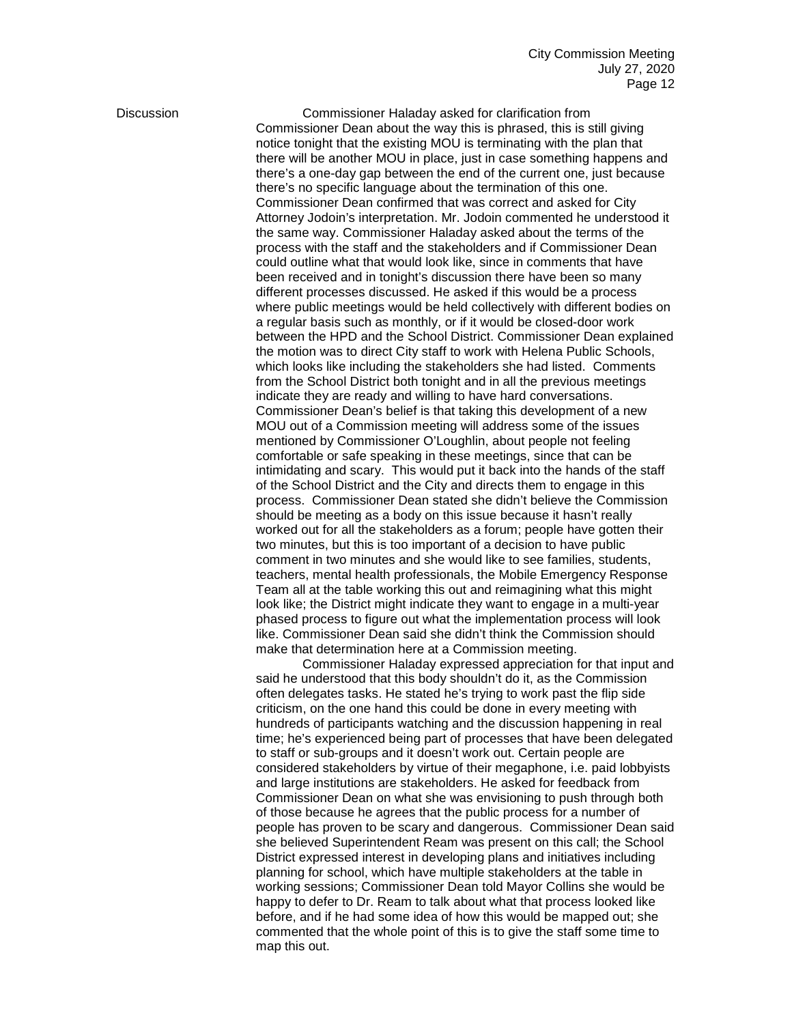Discussion Commissioner Haladay asked for clarification from Commissioner Dean about the way this is phrased, this is still giving notice tonight that the existing MOU is terminating with the plan that there will be another MOU in place, just in case something happens and there's a one-day gap between the end of the current one, just because there's no specific language about the termination of this one. Commissioner Dean confirmed that was correct and asked for City Attorney Jodoin's interpretation. Mr. Jodoin commented he understood it the same way. Commissioner Haladay asked about the terms of the process with the staff and the stakeholders and if Commissioner Dean could outline what that would look like, since in comments that have been received and in tonight's discussion there have been so many different processes discussed. He asked if this would be a process where public meetings would be held collectively with different bodies on a regular basis such as monthly, or if it would be closed-door work between the HPD and the School District. Commissioner Dean explained the motion was to direct City staff to work with Helena Public Schools, which looks like including the stakeholders she had listed. Comments from the School District both tonight and in all the previous meetings indicate they are ready and willing to have hard conversations. Commissioner Dean's belief is that taking this development of a new MOU out of a Commission meeting will address some of the issues mentioned by Commissioner O'Loughlin, about people not feeling comfortable or safe speaking in these meetings, since that can be intimidating and scary. This would put it back into the hands of the staff of the School District and the City and directs them to engage in this process. Commissioner Dean stated she didn't believe the Commission should be meeting as a body on this issue because it hasn't really worked out for all the stakeholders as a forum; people have gotten their two minutes, but this is too important of a decision to have public comment in two minutes and she would like to see families, students, teachers, mental health professionals, the Mobile Emergency Response Team all at the table working this out and reimagining what this might look like; the District might indicate they want to engage in a multi-year phased process to figure out what the implementation process will look like. Commissioner Dean said she didn't think the Commission should make that determination here at a Commission meeting.

> Commissioner Haladay expressed appreciation for that input and said he understood that this body shouldn't do it, as the Commission often delegates tasks. He stated he's trying to work past the flip side criticism, on the one hand this could be done in every meeting with hundreds of participants watching and the discussion happening in real time; he's experienced being part of processes that have been delegated to staff or sub-groups and it doesn't work out. Certain people are considered stakeholders by virtue of their megaphone, i.e. paid lobbyists and large institutions are stakeholders. He asked for feedback from Commissioner Dean on what she was envisioning to push through both of those because he agrees that the public process for a number of people has proven to be scary and dangerous. Commissioner Dean said she believed Superintendent Ream was present on this call; the School District expressed interest in developing plans and initiatives including planning for school, which have multiple stakeholders at the table in working sessions; Commissioner Dean told Mayor Collins she would be happy to defer to Dr. Ream to talk about what that process looked like before, and if he had some idea of how this would be mapped out; she commented that the whole point of this is to give the staff some time to map this out.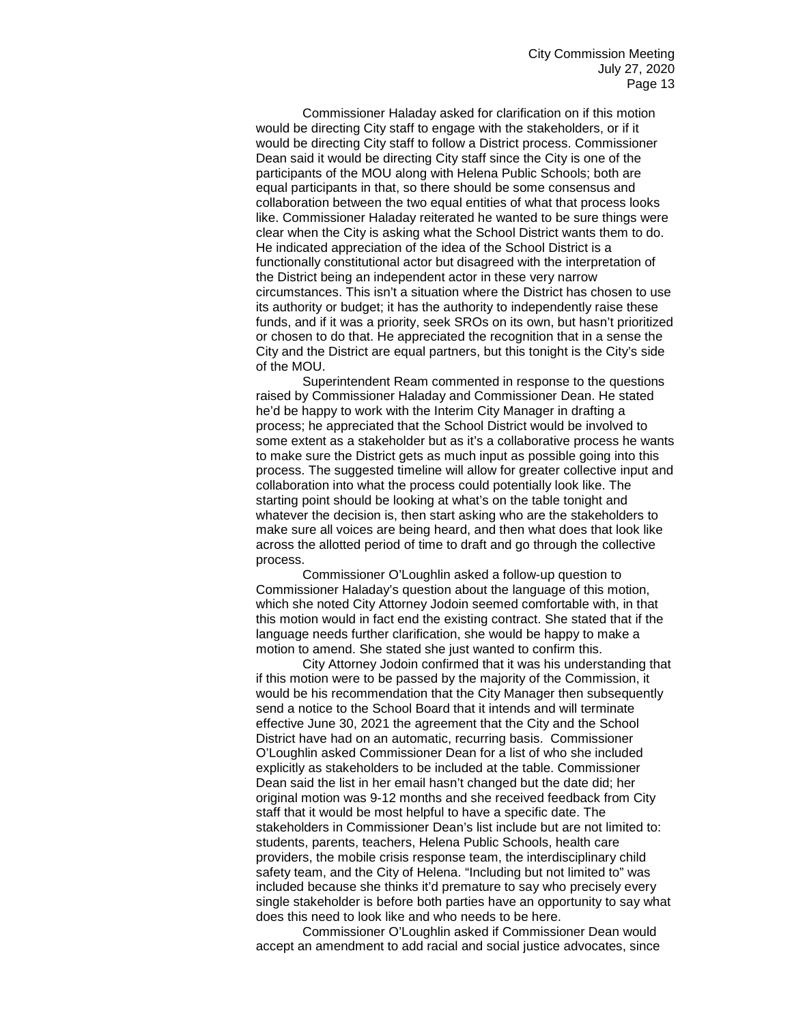Commissioner Haladay asked for clarification on if this motion would be directing City staff to engage with the stakeholders, or if it would be directing City staff to follow a District process. Commissioner Dean said it would be directing City staff since the City is one of the participants of the MOU along with Helena Public Schools; both are equal participants in that, so there should be some consensus and collaboration between the two equal entities of what that process looks like. Commissioner Haladay reiterated he wanted to be sure things were clear when the City is asking what the School District wants them to do. He indicated appreciation of the idea of the School District is a functionally constitutional actor but disagreed with the interpretation of the District being an independent actor in these very narrow circumstances. This isn't a situation where the District has chosen to use its authority or budget; it has the authority to independently raise these funds, and if it was a priority, seek SROs on its own, but hasn't prioritized or chosen to do that. He appreciated the recognition that in a sense the City and the District are equal partners, but this tonight is the City's side of the MOU.

Superintendent Ream commented in response to the questions raised by Commissioner Haladay and Commissioner Dean. He stated he'd be happy to work with the Interim City Manager in drafting a process; he appreciated that the School District would be involved to some extent as a stakeholder but as it's a collaborative process he wants to make sure the District gets as much input as possible going into this process. The suggested timeline will allow for greater collective input and collaboration into what the process could potentially look like. The starting point should be looking at what's on the table tonight and whatever the decision is, then start asking who are the stakeholders to make sure all voices are being heard, and then what does that look like across the allotted period of time to draft and go through the collective process.

Commissioner O'Loughlin asked a follow-up question to Commissioner Haladay's question about the language of this motion, which she noted City Attorney Jodoin seemed comfortable with, in that this motion would in fact end the existing contract. She stated that if the language needs further clarification, she would be happy to make a motion to amend. She stated she just wanted to confirm this.

City Attorney Jodoin confirmed that it was his understanding that if this motion were to be passed by the majority of the Commission, it would be his recommendation that the City Manager then subsequently send a notice to the School Board that it intends and will terminate effective June 30, 2021 the agreement that the City and the School District have had on an automatic, recurring basis. Commissioner O'Loughlin asked Commissioner Dean for a list of who she included explicitly as stakeholders to be included at the table. Commissioner Dean said the list in her email hasn't changed but the date did; her original motion was 9-12 months and she received feedback from City staff that it would be most helpful to have a specific date. The stakeholders in Commissioner Dean's list include but are not limited to: students, parents, teachers, Helena Public Schools, health care providers, the mobile crisis response team, the interdisciplinary child safety team, and the City of Helena. "Including but not limited to" was included because she thinks it'd premature to say who precisely every single stakeholder is before both parties have an opportunity to say what does this need to look like and who needs to be here.

Commissioner O'Loughlin asked if Commissioner Dean would accept an amendment to add racial and social justice advocates, since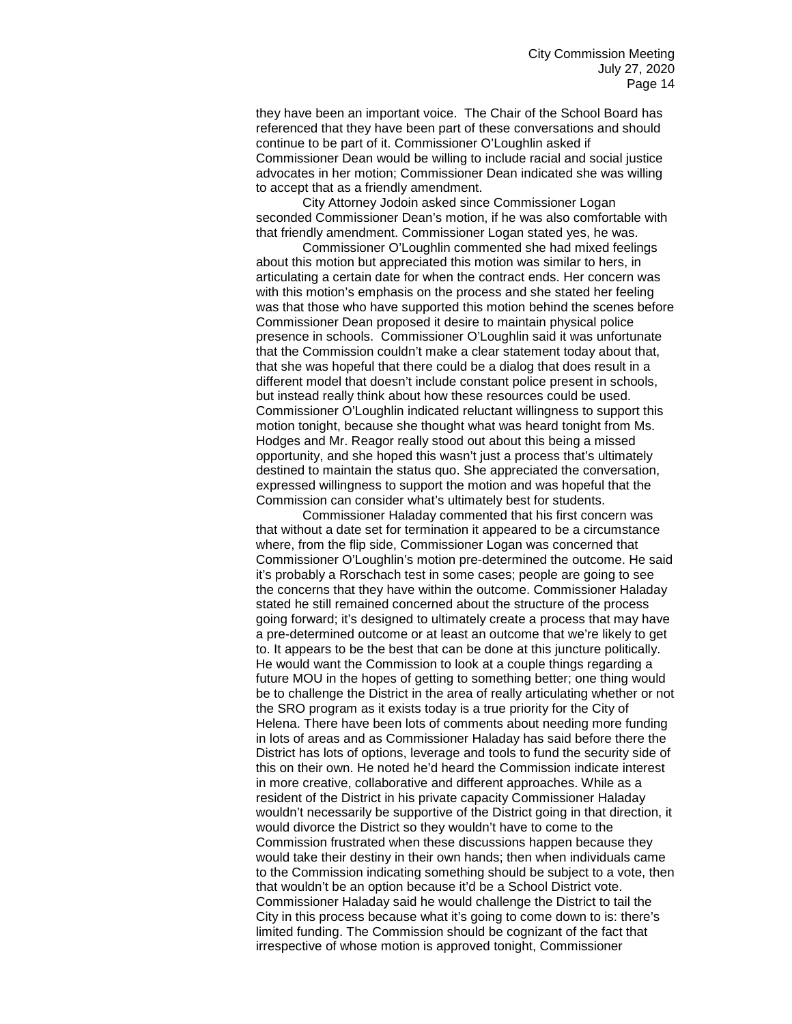they have been an important voice. The Chair of the School Board has referenced that they have been part of these conversations and should continue to be part of it. Commissioner O'Loughlin asked if Commissioner Dean would be willing to include racial and social justice advocates in her motion; Commissioner Dean indicated she was willing to accept that as a friendly amendment.

City Attorney Jodoin asked since Commissioner Logan seconded Commissioner Dean's motion, if he was also comfortable with that friendly amendment. Commissioner Logan stated yes, he was.

Commissioner O'Loughlin commented she had mixed feelings about this motion but appreciated this motion was similar to hers, in articulating a certain date for when the contract ends. Her concern was with this motion's emphasis on the process and she stated her feeling was that those who have supported this motion behind the scenes before Commissioner Dean proposed it desire to maintain physical police presence in schools. Commissioner O'Loughlin said it was unfortunate that the Commission couldn't make a clear statement today about that, that she was hopeful that there could be a dialog that does result in a different model that doesn't include constant police present in schools, but instead really think about how these resources could be used. Commissioner O'Loughlin indicated reluctant willingness to support this motion tonight, because she thought what was heard tonight from Ms. Hodges and Mr. Reagor really stood out about this being a missed opportunity, and she hoped this wasn't just a process that's ultimately destined to maintain the status quo. She appreciated the conversation, expressed willingness to support the motion and was hopeful that the Commission can consider what's ultimately best for students.

Commissioner Haladay commented that his first concern was that without a date set for termination it appeared to be a circumstance where, from the flip side, Commissioner Logan was concerned that Commissioner O'Loughlin's motion pre-determined the outcome. He said it's probably a Rorschach test in some cases; people are going to see the concerns that they have within the outcome. Commissioner Haladay stated he still remained concerned about the structure of the process going forward; it's designed to ultimately create a process that may have a pre-determined outcome or at least an outcome that we're likely to get to. It appears to be the best that can be done at this juncture politically. He would want the Commission to look at a couple things regarding a future MOU in the hopes of getting to something better; one thing would be to challenge the District in the area of really articulating whether or not the SRO program as it exists today is a true priority for the City of Helena. There have been lots of comments about needing more funding in lots of areas and as Commissioner Haladay has said before there the District has lots of options, leverage and tools to fund the security side of this on their own. He noted he'd heard the Commission indicate interest in more creative, collaborative and different approaches. While as a resident of the District in his private capacity Commissioner Haladay wouldn't necessarily be supportive of the District going in that direction, it would divorce the District so they wouldn't have to come to the Commission frustrated when these discussions happen because they would take their destiny in their own hands; then when individuals came to the Commission indicating something should be subject to a vote, then that wouldn't be an option because it'd be a School District vote. Commissioner Haladay said he would challenge the District to tail the City in this process because what it's going to come down to is: there's limited funding. The Commission should be cognizant of the fact that irrespective of whose motion is approved tonight, Commissioner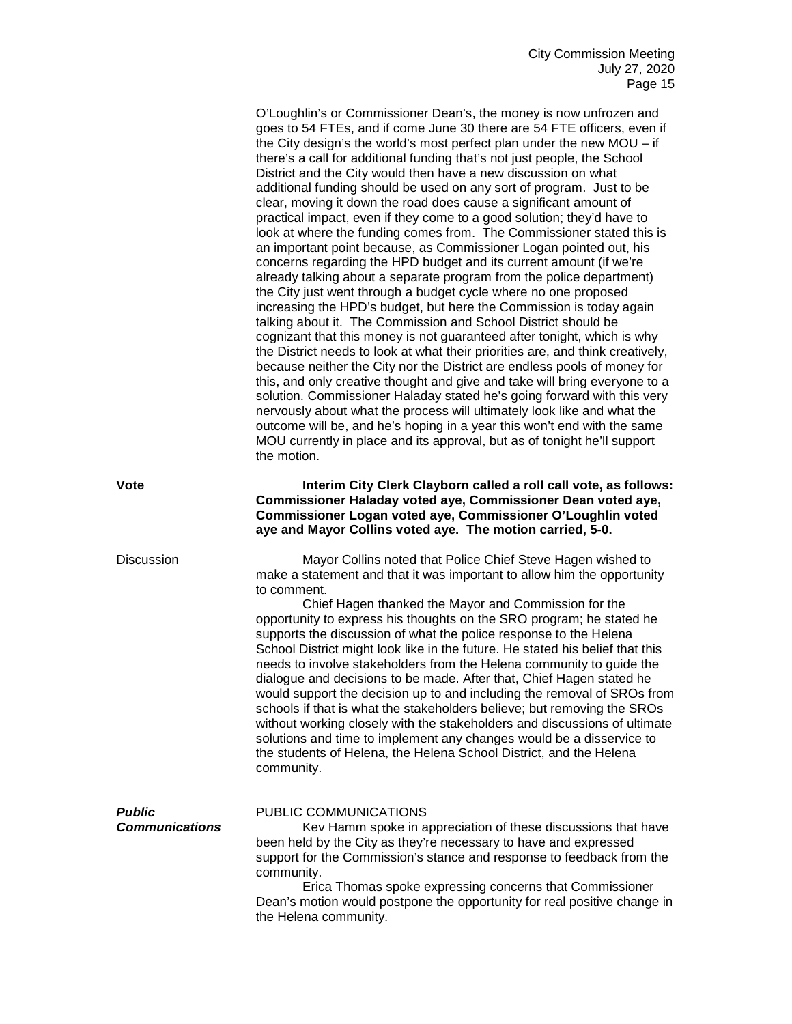O'Loughlin's or Commissioner Dean's, the money is now unfrozen and goes to 54 FTEs, and if come June 30 there are 54 FTE officers, even if the City design's the world's most perfect plan under the new MOU – if there's a call for additional funding that's not just people, the School District and the City would then have a new discussion on what additional funding should be used on any sort of program. Just to be clear, moving it down the road does cause a significant amount of practical impact, even if they come to a good solution; they'd have to look at where the funding comes from. The Commissioner stated this is an important point because, as Commissioner Logan pointed out, his concerns regarding the HPD budget and its current amount (if we're already talking about a separate program from the police department) the City just went through a budget cycle where no one proposed increasing the HPD's budget, but here the Commission is today again talking about it. The Commission and School District should be cognizant that this money is not guaranteed after tonight, which is why the District needs to look at what their priorities are, and think creatively, because neither the City nor the District are endless pools of money for this, and only creative thought and give and take will bring everyone to a solution. Commissioner Haladay stated he's going forward with this very nervously about what the process will ultimately look like and what the outcome will be, and he's hoping in a year this won't end with the same MOU currently in place and its approval, but as of tonight he'll support the motion.

**Vote Interim City Clerk Clayborn called a roll call vote, as follows: Commissioner Haladay voted aye, Commissioner Dean voted aye, Commissioner Logan voted aye, Commissioner O'Loughlin voted aye and Mayor Collins voted aye. The motion carried, 5-0.**

Discussion Mayor Collins noted that Police Chief Steve Hagen wished to make a statement and that it was important to allow him the opportunity to comment.

> Chief Hagen thanked the Mayor and Commission for the opportunity to express his thoughts on the SRO program; he stated he supports the discussion of what the police response to the Helena School District might look like in the future. He stated his belief that this needs to involve stakeholders from the Helena community to guide the dialogue and decisions to be made. After that, Chief Hagen stated he would support the decision up to and including the removal of SROs from schools if that is what the stakeholders believe; but removing the SROs without working closely with the stakeholders and discussions of ultimate solutions and time to implement any changes would be a disservice to the students of Helena, the Helena School District, and the Helena community.

| <b>Public</b><br><b>Communications</b> | PUBLIC COMMUNICATIONS<br>Kev Hamm spoke in appreciation of these discussions that have<br>been held by the City as they're necessary to have and expressed<br>support for the Commission's stance and response to feedback from the<br>community. |
|----------------------------------------|---------------------------------------------------------------------------------------------------------------------------------------------------------------------------------------------------------------------------------------------------|
|                                        | Erica Thomas spoke expressing concerns that Commissioner<br>Dean's motion would postpone the opportunity for real positive change in<br>the Helena community.                                                                                     |